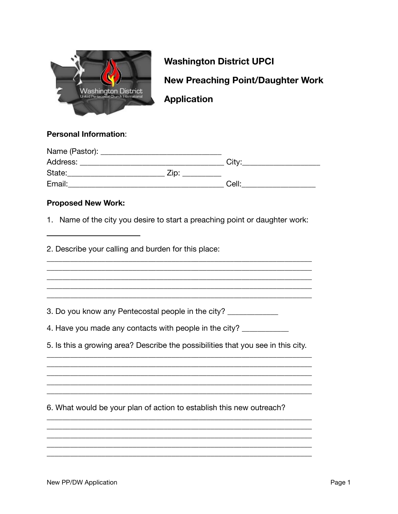

**Washington District UPCI New Preaching Point/Daughter Work Application** 

#### **Personal Information:**

| Name (Pastor): |      |                   |
|----------------|------|-------------------|
| Address:       |      | City <sup>-</sup> |
| State:         | Zip: |                   |
| Email:         |      | Cell:             |

### **Proposed New Work:**

1. Name of the city you desire to start a preaching point or daughter work:

2. Describe your calling and burden for this place:

3. Do you know any Pentecostal people in the city?

4. Have you made any contacts with people in the city? \_\_\_\_\_\_\_\_\_\_\_

5. Is this a growing area? Describe the possibilities that you see in this city.

6. What would be your plan of action to establish this new outreach?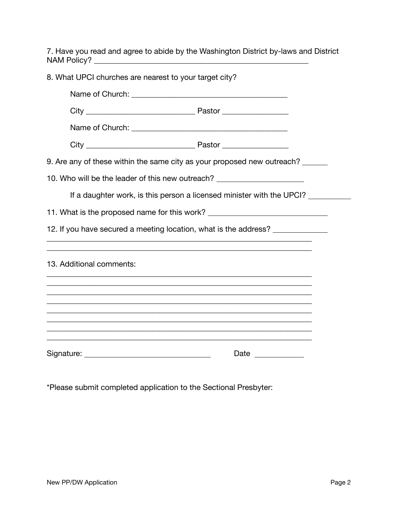7. Have you read and agree to abide by the Washington District by-laws and District NAM Policy? \_\_\_\_\_\_\_\_\_\_\_\_\_\_\_\_\_\_\_\_\_\_\_\_\_\_\_\_\_\_\_\_\_\_\_\_\_\_\_\_\_\_\_\_\_\_\_\_\_\_\_\_\_\_\_

| 8. What UPCI churches are nearest to your target city?                           |                                                                       |
|----------------------------------------------------------------------------------|-----------------------------------------------------------------------|
|                                                                                  |                                                                       |
|                                                                                  |                                                                       |
|                                                                                  |                                                                       |
|                                                                                  |                                                                       |
| 9. Are any of these within the same city as your proposed new outreach? ______   |                                                                       |
| 10. Who will be the leader of this new outreach? _______________________________ |                                                                       |
|                                                                                  | If a daughter work, is this person a licensed minister with the UPCI? |
| 11. What is the proposed name for this work? ___________________________________ |                                                                       |
| 12. If you have secured a meeting location, what is the address?                 |                                                                       |
|                                                                                  |                                                                       |
| 13. Additional comments:                                                         |                                                                       |
|                                                                                  |                                                                       |
|                                                                                  |                                                                       |
|                                                                                  |                                                                       |
|                                                                                  |                                                                       |
|                                                                                  |                                                                       |

\*Please submit completed application to the Sectional Presbyter: